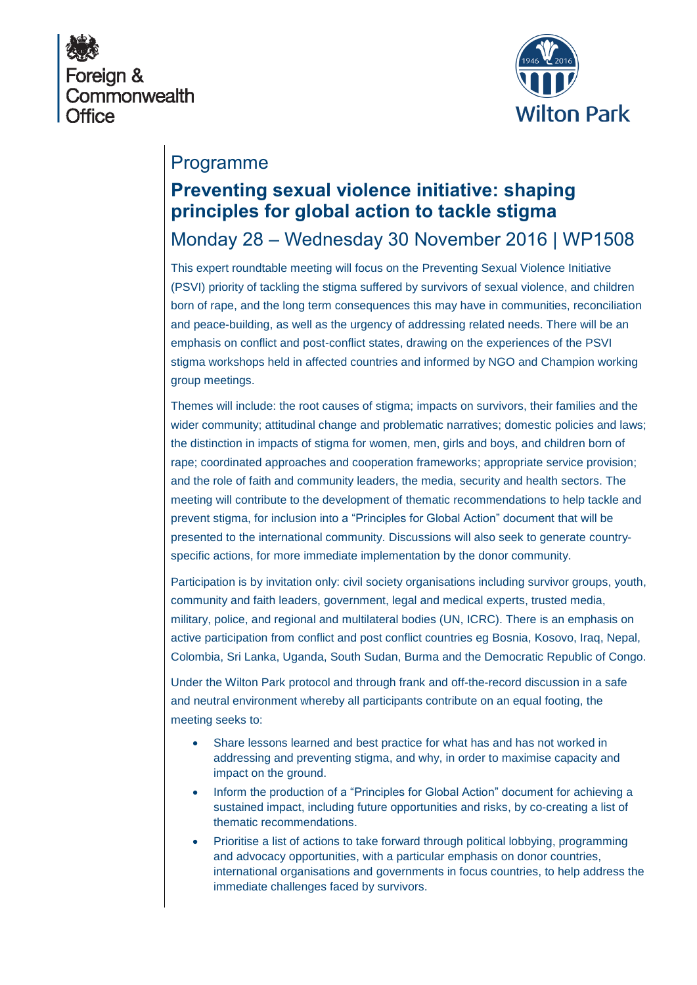



### Programme

# **Preventing sexual violence initiative: shaping principles for global action to tackle stigma**

# Monday 28 – Wednesday 30 November 2016 | WP1508

This expert roundtable meeting will focus on the Preventing Sexual Violence Initiative (PSVI) priority of tackling the stigma suffered by survivors of sexual violence, and children born of rape, and the long term consequences this may have in communities, reconciliation and peace-building, as well as the urgency of addressing related needs. There will be an emphasis on conflict and post-conflict states, drawing on the experiences of the PSVI stigma workshops held in affected countries and informed by NGO and Champion working group meetings.

Themes will include: the root causes of stigma; impacts on survivors, their families and the wider community; attitudinal change and problematic narratives; domestic policies and laws; the distinction in impacts of stigma for women, men, girls and boys, and children born of rape; coordinated approaches and cooperation frameworks; appropriate service provision; and the role of faith and community leaders, the media, security and health sectors. The meeting will contribute to the development of thematic recommendations to help tackle and prevent stigma, for inclusion into a "Principles for Global Action" document that will be presented to the international community. Discussions will also seek to generate countryspecific actions, for more immediate implementation by the donor community.

Participation is by invitation only: civil society organisations including survivor groups, youth, community and faith leaders, government, legal and medical experts, trusted media, military, police, and regional and multilateral bodies (UN, ICRC). There is an emphasis on active participation from conflict and post conflict countries eg Bosnia, Kosovo, Iraq, Nepal, Colombia, Sri Lanka, Uganda, South Sudan, Burma and the Democratic Republic of Congo.

Under the Wilton Park protocol and through frank and off-the-record discussion in a safe and neutral environment whereby all participants contribute on an equal footing, the meeting seeks to:

- Share lessons learned and best practice for what has and has not worked in addressing and preventing stigma, and why, in order to maximise capacity and impact on the ground.
- Inform the production of a "Principles for Global Action" document for achieving a sustained impact, including future opportunities and risks, by co-creating a list of thematic recommendations.
- Prioritise a list of actions to take forward through political lobbying, programming and advocacy opportunities, with a particular emphasis on donor countries, international organisations and governments in focus countries, to help address the immediate challenges faced by survivors.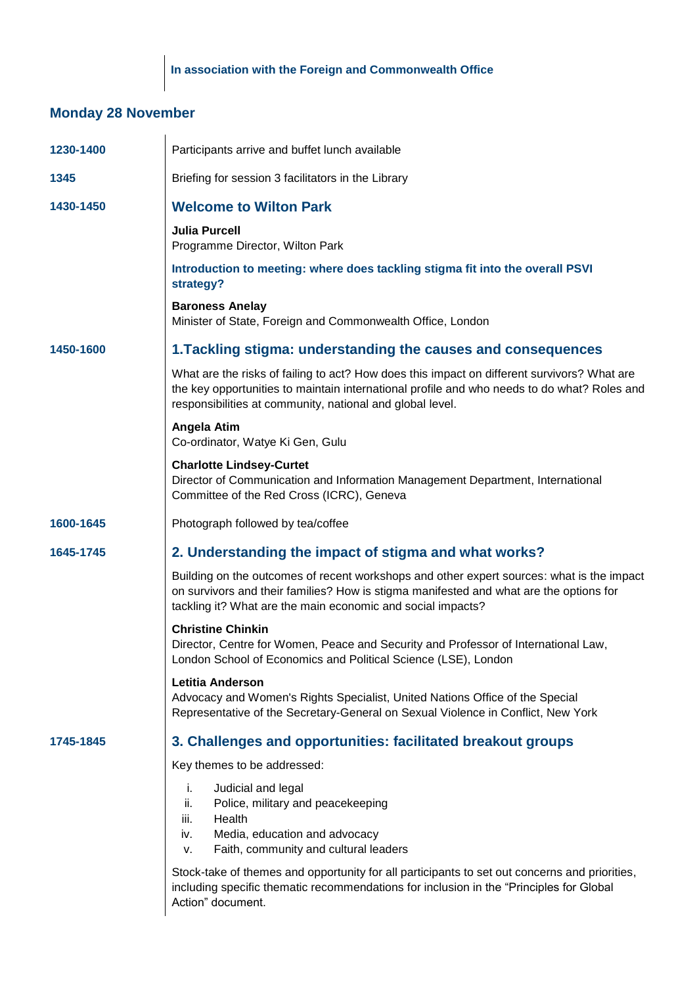## **In association with the Foreign and Commonwealth Office**

# **Monday 28 November**

| 1230-1400 | Participants arrive and buffet lunch available                                                                                                                                                                                                          |
|-----------|---------------------------------------------------------------------------------------------------------------------------------------------------------------------------------------------------------------------------------------------------------|
| 1345      | Briefing for session 3 facilitators in the Library                                                                                                                                                                                                      |
| 1430-1450 | <b>Welcome to Wilton Park</b>                                                                                                                                                                                                                           |
|           | <b>Julia Purcell</b><br>Programme Director, Wilton Park                                                                                                                                                                                                 |
|           | Introduction to meeting: where does tackling stigma fit into the overall PSVI<br>strategy?                                                                                                                                                              |
|           | <b>Baroness Anelay</b><br>Minister of State, Foreign and Commonwealth Office, London                                                                                                                                                                    |
| 1450-1600 | 1. Tackling stigma: understanding the causes and consequences                                                                                                                                                                                           |
|           | What are the risks of failing to act? How does this impact on different survivors? What are<br>the key opportunities to maintain international profile and who needs to do what? Roles and<br>responsibilities at community, national and global level. |
|           | Angela Atim<br>Co-ordinator, Watye Ki Gen, Gulu                                                                                                                                                                                                         |
|           | <b>Charlotte Lindsey-Curtet</b><br>Director of Communication and Information Management Department, International<br>Committee of the Red Cross (ICRC), Geneva                                                                                          |
| 1600-1645 | Photograph followed by tea/coffee                                                                                                                                                                                                                       |
| 1645-1745 | 2. Understanding the impact of stigma and what works?                                                                                                                                                                                                   |
|           | Building on the outcomes of recent workshops and other expert sources: what is the impact<br>on survivors and their families? How is stigma manifested and what are the options for<br>tackling it? What are the main economic and social impacts?      |
|           | <b>Christine Chinkin</b><br>Director, Centre for Women, Peace and Security and Professor of International Law,<br>London School of Economics and Political Science (LSE), London                                                                        |
|           | <b>Letitia Anderson</b><br>Advocacy and Women's Rights Specialist, United Nations Office of the Special<br>Representative of the Secretary-General on Sexual Violence in Conflict, New York                                                             |
| 1745-1845 | 3. Challenges and opportunities: facilitated breakout groups                                                                                                                                                                                            |
|           | Key themes to be addressed:                                                                                                                                                                                                                             |
|           | i.<br>Judicial and legal<br>ii.<br>Police, military and peacekeeping<br>iii.<br>Health<br>Media, education and advocacy<br>iv.<br>Faith, community and cultural leaders<br>v.                                                                           |
|           | Stock-take of themes and opportunity for all participants to set out concerns and priorities,<br>including specific thematic recommendations for inclusion in the "Principles for Global<br>Action" document.                                           |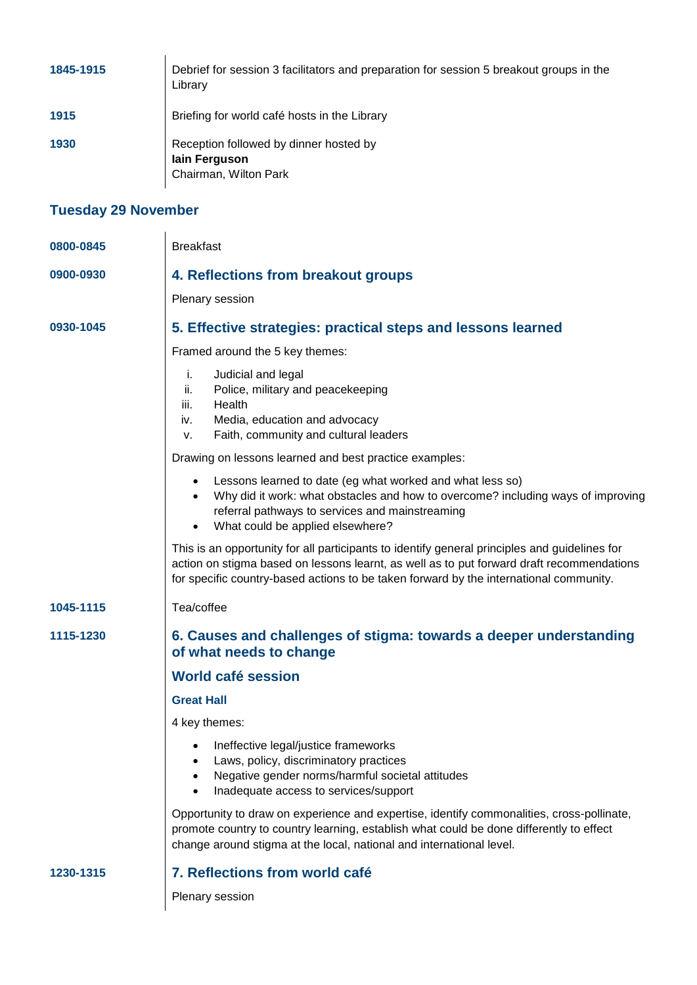| 1845-1915 | Debrief for session 3 facilitators and preparation for session 5 breakout groups in the<br>Library |
|-----------|----------------------------------------------------------------------------------------------------|
| 1915      | Briefing for world café hosts in the Library                                                       |
| 1930      | Reception followed by dinner hosted by<br>lain Ferguson<br>Chairman, Wilton Park                   |

#### **Tuesday 29 November**

| 0800-0845 | <b>Breakfast</b>                                                                                                                                                                                                                                                                     |
|-----------|--------------------------------------------------------------------------------------------------------------------------------------------------------------------------------------------------------------------------------------------------------------------------------------|
| 0900-0930 | 4. Reflections from breakout groups                                                                                                                                                                                                                                                  |
|           | Plenary session                                                                                                                                                                                                                                                                      |
| 0930-1045 | 5. Effective strategies: practical steps and lessons learned                                                                                                                                                                                                                         |
|           | Framed around the 5 key themes:                                                                                                                                                                                                                                                      |
|           | i.<br>Judicial and legal<br>Police, military and peacekeeping<br>ii.<br>Health<br>iii.<br>Media, education and advocacy<br>iv.<br>Faith, community and cultural leaders<br>v.                                                                                                        |
|           | Drawing on lessons learned and best practice examples:                                                                                                                                                                                                                               |
|           | Lessons learned to date (eg what worked and what less so)<br>٠<br>Why did it work: what obstacles and how to overcome? including ways of improving<br>$\bullet$<br>referral pathways to services and mainstreaming<br>What could be applied elsewhere?<br>$\bullet$                  |
|           | This is an opportunity for all participants to identify general principles and guidelines for<br>action on stigma based on lessons learnt, as well as to put forward draft recommendations<br>for specific country-based actions to be taken forward by the international community. |
| 1045-1115 | Tea/coffee                                                                                                                                                                                                                                                                           |
| 1115-1230 | 6. Causes and challenges of stigma: towards a deeper understanding<br>of what needs to change                                                                                                                                                                                        |
|           | <b>World café session</b>                                                                                                                                                                                                                                                            |
|           | <b>Great Hall</b>                                                                                                                                                                                                                                                                    |
|           | 4 key themes:                                                                                                                                                                                                                                                                        |
|           | Ineffective legal/justice frameworks<br>Laws, policy, discriminatory practices<br>Negative gender norms/harmful societal attitudes<br>Inadequate access to services/support<br>$\bullet$                                                                                             |
|           | Opportunity to draw on experience and expertise, identify commonalities, cross-pollinate,<br>promote country to country learning, establish what could be done differently to effect<br>change around stigma at the local, national and international level.                         |
| 1230-1315 | 7. Reflections from world café                                                                                                                                                                                                                                                       |
|           | Plenary session                                                                                                                                                                                                                                                                      |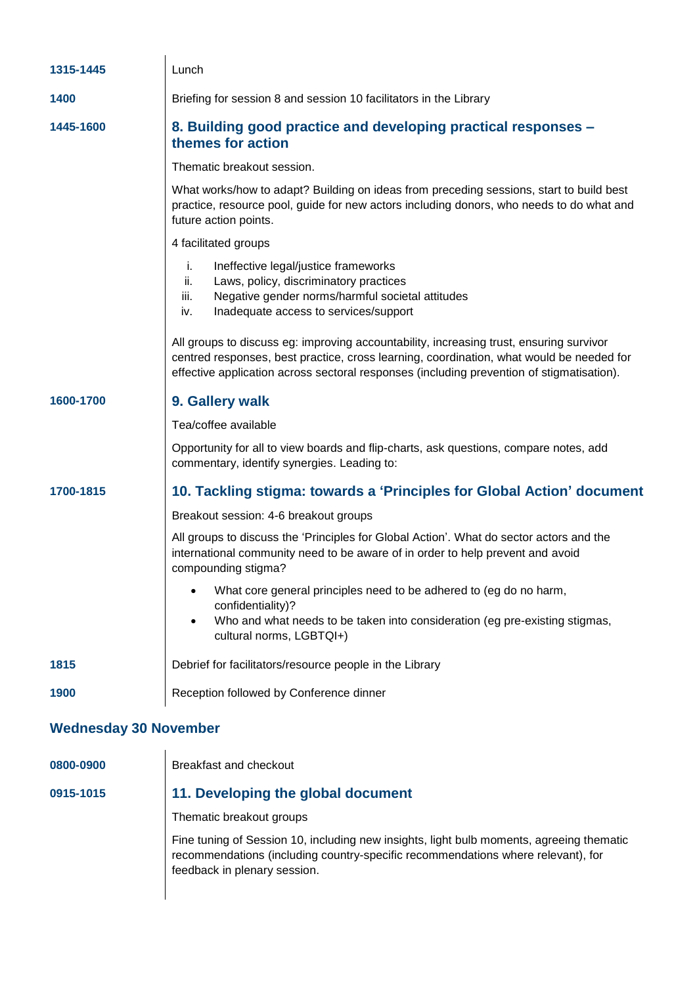| 1315-1445                    | Lunch                                                                                                                                                                                                                                                                            |  |
|------------------------------|----------------------------------------------------------------------------------------------------------------------------------------------------------------------------------------------------------------------------------------------------------------------------------|--|
| 1400                         | Briefing for session 8 and session 10 facilitators in the Library                                                                                                                                                                                                                |  |
| 1445-1600                    | 8. Building good practice and developing practical responses -<br>themes for action                                                                                                                                                                                              |  |
|                              | Thematic breakout session.                                                                                                                                                                                                                                                       |  |
|                              | What works/how to adapt? Building on ideas from preceding sessions, start to build best<br>practice, resource pool, guide for new actors including donors, who needs to do what and<br>future action points.                                                                     |  |
|                              | 4 facilitated groups                                                                                                                                                                                                                                                             |  |
|                              | i.<br>Ineffective legal/justice frameworks<br>ii.<br>Laws, policy, discriminatory practices<br>Negative gender norms/harmful societal attitudes<br>iii.<br>Inadequate access to services/support<br>iv.                                                                          |  |
|                              | All groups to discuss eg: improving accountability, increasing trust, ensuring survivor<br>centred responses, best practice, cross learning, coordination, what would be needed for<br>effective application across sectoral responses (including prevention of stigmatisation). |  |
| 1600-1700                    | 9. Gallery walk                                                                                                                                                                                                                                                                  |  |
|                              | Tea/coffee available                                                                                                                                                                                                                                                             |  |
|                              | Opportunity for all to view boards and flip-charts, ask questions, compare notes, add<br>commentary, identify synergies. Leading to:                                                                                                                                             |  |
| 1700-1815                    | 10. Tackling stigma: towards a 'Principles for Global Action' document                                                                                                                                                                                                           |  |
|                              | Breakout session: 4-6 breakout groups                                                                                                                                                                                                                                            |  |
|                              | All groups to discuss the 'Principles for Global Action'. What do sector actors and the<br>international community need to be aware of in order to help prevent and avoid<br>compounding stigma?                                                                                 |  |
|                              | What core general principles need to be adhered to (eg do no harm,<br>confidentiality)?                                                                                                                                                                                          |  |
|                              | Who and what needs to be taken into consideration (eg pre-existing stigmas,<br>cultural norms, LGBTQI+)                                                                                                                                                                          |  |
| 1815                         | Debrief for facilitators/resource people in the Library                                                                                                                                                                                                                          |  |
| 1900                         | Reception followed by Conference dinner                                                                                                                                                                                                                                          |  |
| <b>Wednesday 30 November</b> |                                                                                                                                                                                                                                                                                  |  |
|                              |                                                                                                                                                                                                                                                                                  |  |

| 0800-0900 | Breakfast and checkout                                                                                                                                                                                       |
|-----------|--------------------------------------------------------------------------------------------------------------------------------------------------------------------------------------------------------------|
| 0915-1015 | 11. Developing the global document                                                                                                                                                                           |
|           | Thematic breakout groups                                                                                                                                                                                     |
|           | Fine tuning of Session 10, including new insights, light bulb moments, agreeing thematic<br>recommendations (including country-specific recommendations where relevant), for<br>feedback in plenary session. |